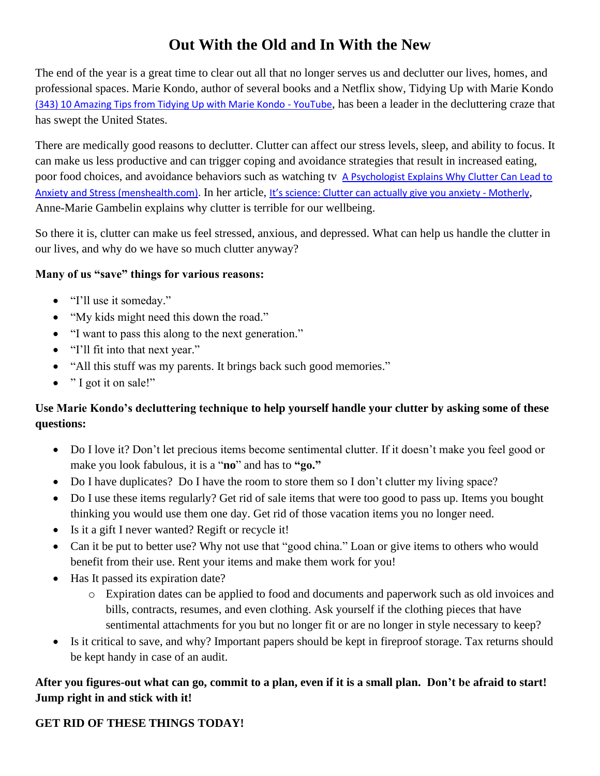# **Out With the Old and In With the New**

The end of the year is a great time to clear out all that no longer serves us and declutter our lives, homes, and professional spaces. Marie Kondo, author of several books and a Netflix show, Tidying Up with Marie Kondo [\(343\) 10 Amazing Tips from Tidying Up with Marie Kondo -](https://www.youtube.com/watch?v=TXzcmr2WcDA) YouTube, has been a leader in the decluttering craze that has swept the United States.

There are medically good reasons to declutter. Clutter can affect our stress levels, sleep, and ability to focus. It can make us less productive and can trigger coping and avoidance strategies that result in increased eating, poor food choices, and avoidance behaviors such as watching tv A Psychologist Explains Why Clutter Can Lead to [Anxiety and Stress \(menshealth.com\).](https://www.menshealth.com/health/a26012549/clutter-messiness-stress-anxiety-health-psychology/) In her article, [It's science: Clutter can actually give you anxiety](https://www.mother.ly/life/its-science-clutter-can-actually-give-you-anxiety) - Motherly, Anne-Marie Gambelin explains why clutter is terrible for our wellbeing.

So there it is, clutter can make us feel stressed, anxious, and depressed. What can help us handle the clutter in our lives, and why do we have so much clutter anyway?

### **Many of us "save" things for various reasons:**

- "I'll use it someday."
- "My kids might need this down the road."
- "I want to pass this along to the next generation."
- "I'll fit into that next year."
- "All this stuff was my parents. It brings back such good memories."
- " I got it on sale!"

## **Use Marie Kondo's decluttering technique to help yourself handle your clutter by asking some of these questions:**

- Do I love it? Don't let precious items become sentimental clutter. If it doesn't make you feel good or make you look fabulous, it is a "**no**" and has to **"go."**
- Do I have duplicates? Do I have the room to store them so I don't clutter my living space?
- Do I use these items regularly? Get rid of sale items that were too good to pass up. Items you bought thinking you would use them one day. Get rid of those vacation items you no longer need.
- Is it a gift I never wanted? Regift or recycle it!
- Can it be put to better use? Why not use that "good china." Loan or give items to others who would benefit from their use. Rent your items and make them work for you!
- Has It passed its expiration date?
	- o Expiration dates can be applied to food and documents and paperwork such as old invoices and bills, contracts, resumes, and even clothing. Ask yourself if the clothing pieces that have sentimental attachments for you but no longer fit or are no longer in style necessary to keep?
- Is it critical to save, and why? Important papers should be kept in fireproof storage. Tax returns should be kept handy in case of an audit.

## **After you figures-out what can go, commit to a plan, even if it is a small plan. Don't be afraid to start! Jump right in and stick with it!**

## **GET RID OF THESE THINGS TODAY!**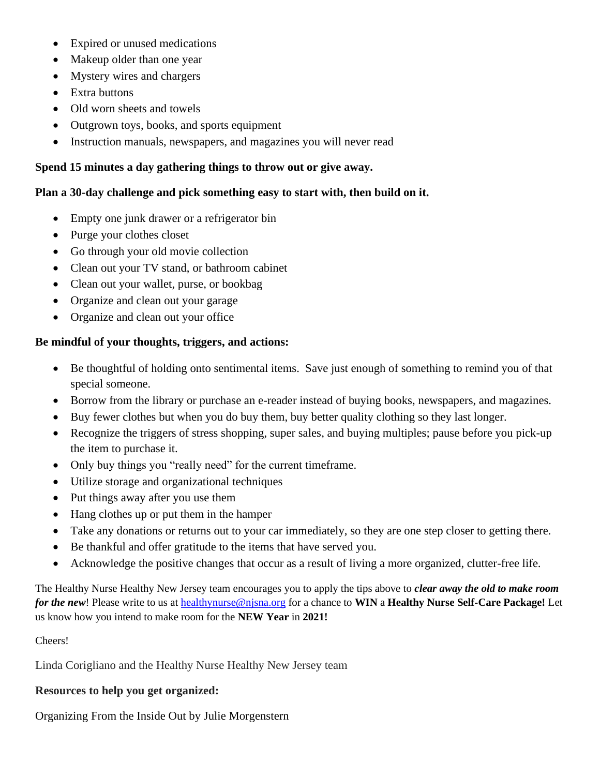- Expired or unused medications
- Makeup older than one year
- Mystery wires and chargers
- Extra buttons
- Old worn sheets and towels
- Outgrown toys, books, and sports equipment
- Instruction manuals, newspapers, and magazines you will never read

#### **Spend 15 minutes a day gathering things to throw out or give away.**

#### **Plan a 30-day challenge and pick something easy to start with, then build on it.**

- Empty one junk drawer or a refrigerator bin
- Purge your clothes closet
- Go through your old movie collection
- Clean out your TV stand, or bathroom cabinet
- Clean out your wallet, purse, or bookbag
- Organize and clean out your garage
- Organize and clean out your office

#### **Be mindful of your thoughts, triggers, and actions:**

- Be thoughtful of holding onto sentimental items. Save just enough of something to remind you of that special someone.
- Borrow from the library or purchase an e-reader instead of buying books, newspapers, and magazines.
- Buy fewer clothes but when you do buy them, buy better quality clothing so they last longer.
- Recognize the triggers of stress shopping, super sales, and buying multiples; pause before you pick-up the item to purchase it.
- Only buy things you "really need" for the current timeframe.
- Utilize storage and organizational techniques
- Put things away after you use them
- Hang clothes up or put them in the hamper
- Take any donations or returns out to your car immediately, so they are one step closer to getting there.
- Be thankful and offer gratitude to the items that have served you.
- Acknowledge the positive changes that occur as a result of living a more organized, clutter-free life.

The Healthy Nurse Healthy New Jersey team encourages you to apply the tips above to *clear away the old to make room for the new*! Please write to us at [healthynurse@njsna.org](mailto:healthynurse@njsna.org) for a chance to **WIN** a **Healthy Nurse Self-Care Package!** Let us know how you intend to make room for the **NEW Year** in **2021!**

#### Cheers!

Linda Corigliano and the Healthy Nurse Healthy New Jersey team

#### **Resources to help you get organized:**

Organizing From the Inside Out by Julie Morgenstern